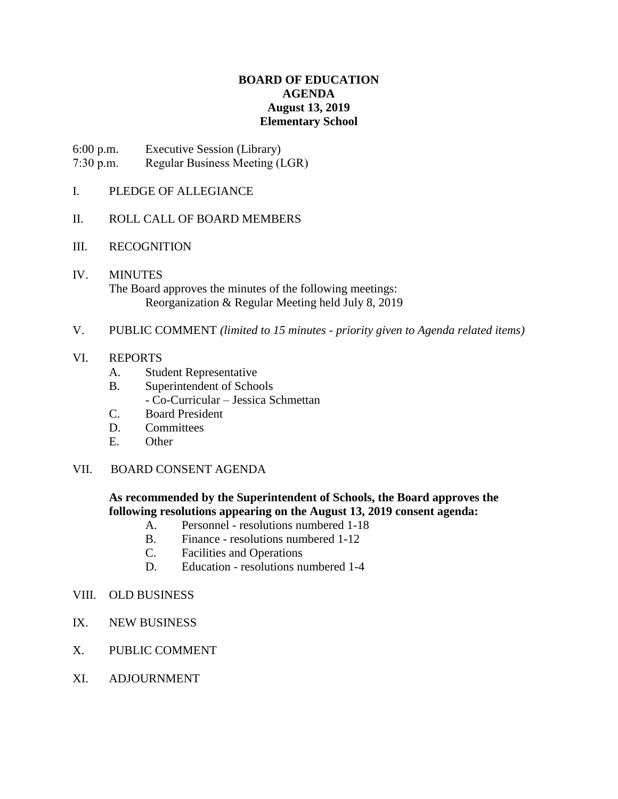# **BOARD OF EDUCATION AGENDA August 13, 2019 Elementary School**

6:00 p.m. Executive Session (Library) 7:30 p.m. Regular Business Meeting (LGR)

- I. PLEDGE OF ALLEGIANCE
- II. ROLL CALL OF BOARD MEMBERS
- III. RECOGNITION
- IV. MINUTES The Board approves the minutes of the following meetings: Reorganization & Regular Meeting held July 8, 2019
- V. PUBLIC COMMENT *(limited to 15 minutes - priority given to Agenda related items)*

### VI. REPORTS

- A. Student Representative
- B. Superintendent of Schools
	- Co-Curricular Jessica Schmettan
- C. Board President
- D. Committees
- E. Other

# VII. BOARD CONSENT AGENDA

**As recommended by the Superintendent of Schools, the Board approves the following resolutions appearing on the August 13, 2019 consent agenda:**

- A. Personnel resolutions numbered 1-18
- B. Finance resolutions numbered 1-12
- C. Facilities and Operations
- D. Education resolutions numbered 1-4
- VIII. OLD BUSINESS
- IX. NEW BUSINESS
- X. PUBLIC COMMENT
- XI. ADJOURNMENT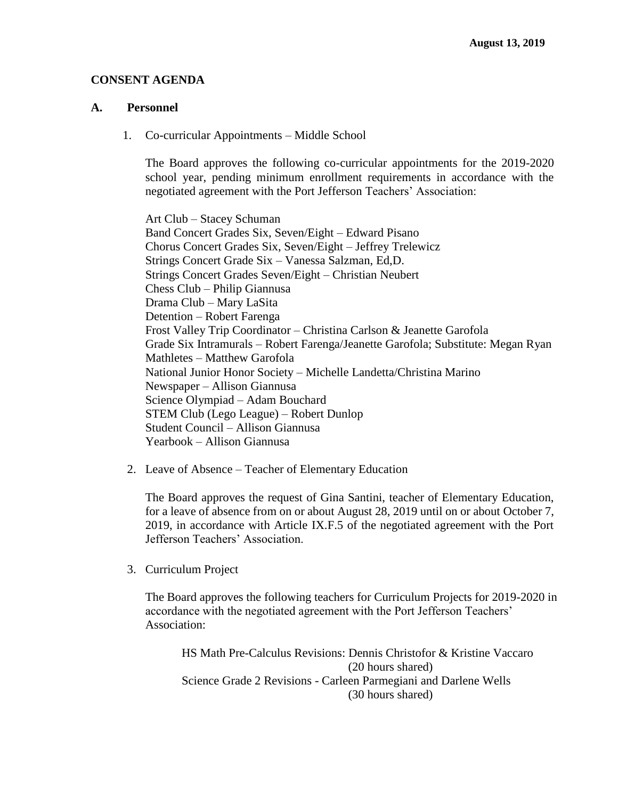# **CONSENT AGENDA**

#### **A. Personnel**

1. Co-curricular Appointments – Middle School

The Board approves the following co-curricular appointments for the 2019-2020 school year, pending minimum enrollment requirements in accordance with the negotiated agreement with the Port Jefferson Teachers' Association:

Art Club – Stacey Schuman Band Concert Grades Six, Seven/Eight – Edward Pisano Chorus Concert Grades Six, Seven/Eight – Jeffrey Trelewicz Strings Concert Grade Six – Vanessa Salzman, Ed,D. Strings Concert Grades Seven/Eight – Christian Neubert Chess Club – Philip Giannusa Drama Club – Mary LaSita Detention – Robert Farenga Frost Valley Trip Coordinator – Christina Carlson & Jeanette Garofola Grade Six Intramurals – Robert Farenga/Jeanette Garofola; Substitute: Megan Ryan Mathletes – Matthew Garofola National Junior Honor Society – Michelle Landetta/Christina Marino Newspaper – Allison Giannusa Science Olympiad – Adam Bouchard STEM Club (Lego League) – Robert Dunlop Student Council – Allison Giannusa Yearbook – Allison Giannusa

2. Leave of Absence – Teacher of Elementary Education

The Board approves the request of Gina Santini, teacher of Elementary Education, for a leave of absence from on or about August 28, 2019 until on or about October 7, 2019, in accordance with Article IX.F.5 of the negotiated agreement with the Port Jefferson Teachers' Association.

3. Curriculum Project

The Board approves the following teachers for Curriculum Projects for 2019-2020 in accordance with the negotiated agreement with the Port Jefferson Teachers' Association:

HS Math Pre-Calculus Revisions: Dennis Christofor & Kristine Vaccaro (20 hours shared) Science Grade 2 Revisions - Carleen Parmegiani and Darlene Wells (30 hours shared)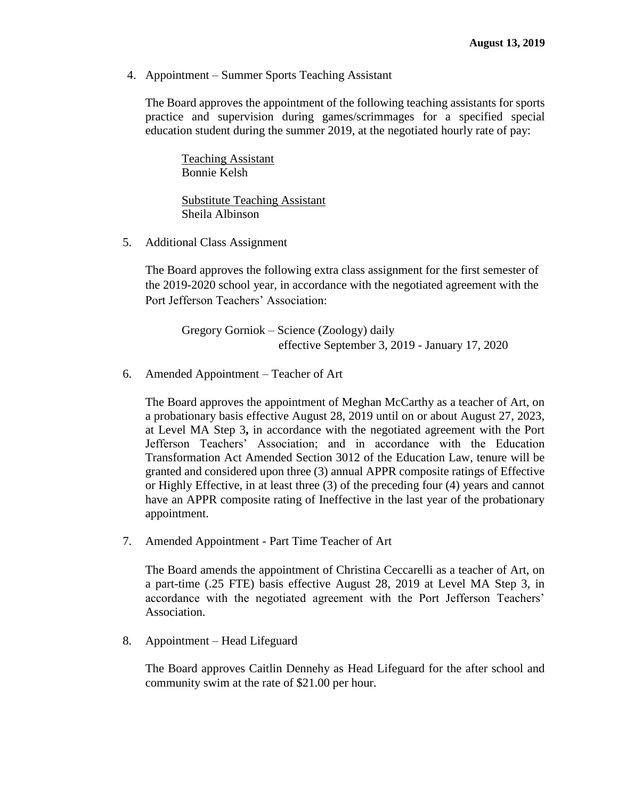4. Appointment – Summer Sports Teaching Assistant

The Board approves the appointment of the following teaching assistants for sports practice and supervision during games/scrimmages for a specified special education student during the summer 2019, at the negotiated hourly rate of pay:

Teaching Assistant Bonnie Kelsh

Substitute Teaching Assistant Sheila Albinson

5. Additional Class Assignment

The Board approves the following extra class assignment for the first semester of the 2019-2020 school year, in accordance with the negotiated agreement with the Port Jefferson Teachers' Association:

Gregory Gorniok – Science (Zoology) daily effective September 3, 2019 - January 17, 2020

6. Amended Appointment – Teacher of Art

The Board approves the appointment of Meghan McCarthy as a teacher of Art, on a probationary basis effective August 28, 2019 until on or about August 27, 2023, at Level MA Step 3**,** in accordance with the negotiated agreement with the Port Jefferson Teachers' Association; and in accordance with the Education Transformation Act Amended Section 3012 of the Education Law, tenure will be granted and considered upon three (3) annual APPR composite ratings of Effective or Highly Effective, in at least three (3) of the preceding four (4) years and cannot have an APPR composite rating of Ineffective in the last year of the probationary appointment.

7. Amended Appointment - Part Time Teacher of Art

The Board amends the appointment of Christina Ceccarelli as a teacher of Art, on a part-time (.25 FTE) basis effective August 28, 2019 at Level MA Step 3, in accordance with the negotiated agreement with the Port Jefferson Teachers' Association.

8. Appointment – Head Lifeguard

The Board approves Caitlin Dennehy as Head Lifeguard for the after school and community swim at the rate of \$21.00 per hour.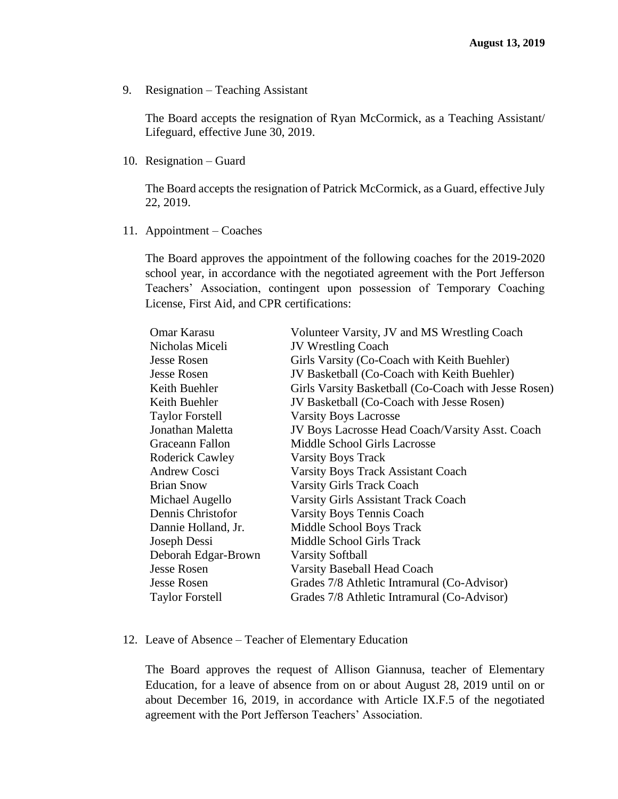9. Resignation – Teaching Assistant

The Board accepts the resignation of Ryan McCormick, as a Teaching Assistant/ Lifeguard, effective June 30, 2019.

10. Resignation – Guard

The Board accepts the resignation of Patrick McCormick, as a Guard, effective July 22, 2019.

11. Appointment – Coaches

The Board approves the appointment of the following coaches for the 2019-2020 school year, in accordance with the negotiated agreement with the Port Jefferson Teachers' Association, contingent upon possession of Temporary Coaching License, First Aid, and CPR certifications:

| Omar Karasu            | Volunteer Varsity, JV and MS Wrestling Coach         |
|------------------------|------------------------------------------------------|
| Nicholas Miceli        | <b>JV Wrestling Coach</b>                            |
| <b>Jesse Rosen</b>     | Girls Varsity (Co-Coach with Keith Buehler)          |
| <b>Jesse Rosen</b>     | JV Basketball (Co-Coach with Keith Buehler)          |
| Keith Buehler          | Girls Varsity Basketball (Co-Coach with Jesse Rosen) |
| Keith Buehler          | JV Basketball (Co-Coach with Jesse Rosen)            |
| <b>Taylor Forstell</b> | <b>Varsity Boys Lacrosse</b>                         |
| Jonathan Maletta       | JV Boys Lacrosse Head Coach/Varsity Asst. Coach      |
| Graceann Fallon        | Middle School Girls Lacrosse                         |
| <b>Roderick Cawley</b> | <b>Varsity Boys Track</b>                            |
| Andrew Cosci           | Varsity Boys Track Assistant Coach                   |
| <b>Brian Snow</b>      | <b>Varsity Girls Track Coach</b>                     |
| Michael Augello        | Varsity Girls Assistant Track Coach                  |
| Dennis Christofor      | <b>Varsity Boys Tennis Coach</b>                     |
| Dannie Holland, Jr.    | Middle School Boys Track                             |
| Joseph Dessi           | Middle School Girls Track                            |
| Deborah Edgar-Brown    | <b>Varsity Softball</b>                              |
| <b>Jesse Rosen</b>     | <b>Varsity Baseball Head Coach</b>                   |
| <b>Jesse Rosen</b>     | Grades 7/8 Athletic Intramural (Co-Advisor)          |
| <b>Taylor Forstell</b> | Grades 7/8 Athletic Intramural (Co-Advisor)          |
|                        |                                                      |

#### 12. Leave of Absence – Teacher of Elementary Education

The Board approves the request of Allison Giannusa, teacher of Elementary Education, for a leave of absence from on or about August 28, 2019 until on or about December 16, 2019, in accordance with Article IX.F.5 of the negotiated agreement with the Port Jefferson Teachers' Association.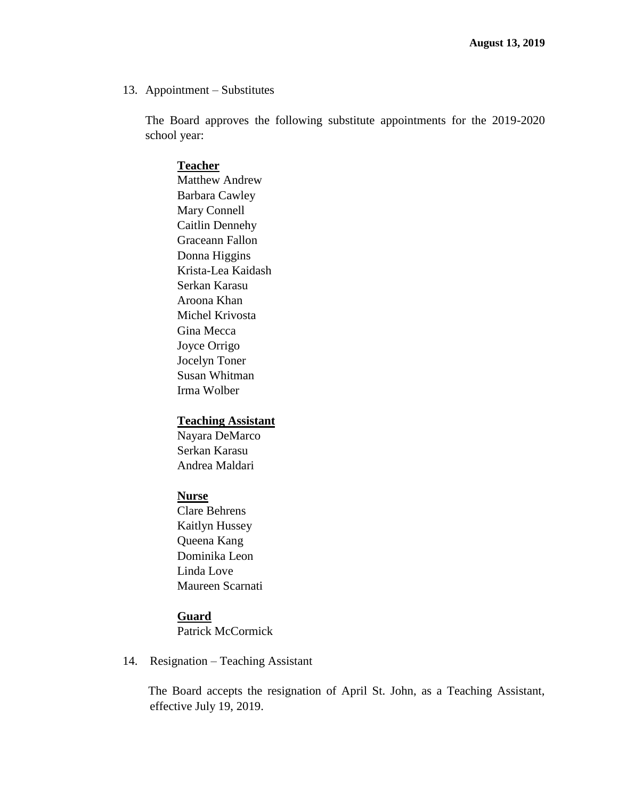13. Appointment – Substitutes

The Board approves the following substitute appointments for the 2019-2020 school year:

#### **Teacher**

Matthew Andrew Barbara Cawley Mary Connell Caitlin Dennehy Graceann Fallon Donna Higgins Krista-Lea Kaidash Serkan Karasu Aroona Khan Michel Krivosta Gina Mecca Joyce Orrigo Jocelyn Toner Susan Whitman Irma Wolber

#### **Teaching Assistant**

Nayara DeMarco Serkan Karasu Andrea Maldari

### **Nurse**

Clare Behrens Kaitlyn Hussey Queena Kang Dominika Leon Linda Love Maureen Scarnati

# **Guard**

Patrick McCormick

14. Resignation – Teaching Assistant

The Board accepts the resignation of April St. John, as a Teaching Assistant, effective July 19, 2019.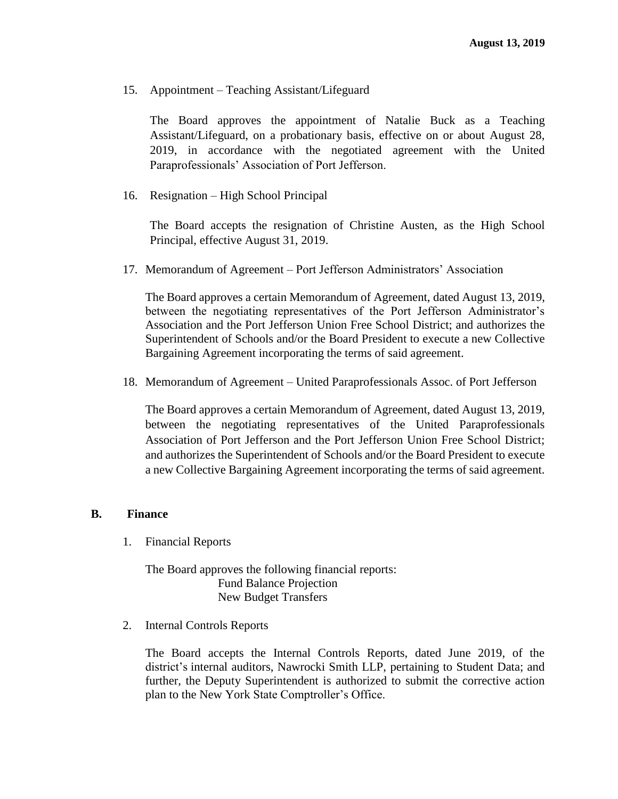15. Appointment – Teaching Assistant/Lifeguard

The Board approves the appointment of Natalie Buck as a Teaching Assistant/Lifeguard, on a probationary basis, effective on or about August 28, 2019, in accordance with the negotiated agreement with the United Paraprofessionals' Association of Port Jefferson.

16. Resignation – High School Principal

The Board accepts the resignation of Christine Austen, as the High School Principal, effective August 31, 2019.

17. Memorandum of Agreement – Port Jefferson Administrators' Association

The Board approves a certain Memorandum of Agreement, dated August 13, 2019, between the negotiating representatives of the Port Jefferson Administrator's Association and the Port Jefferson Union Free School District; and authorizes the Superintendent of Schools and/or the Board President to execute a new Collective Bargaining Agreement incorporating the terms of said agreement.

18. Memorandum of Agreement – United Paraprofessionals Assoc. of Port Jefferson

The Board approves a certain Memorandum of Agreement, dated August 13, 2019, between the negotiating representatives of the United Paraprofessionals Association of Port Jefferson and the Port Jefferson Union Free School District; and authorizes the Superintendent of Schools and/or the Board President to execute a new Collective Bargaining Agreement incorporating the terms of said agreement.

# **B. Finance**

1. Financial Reports

The Board approves the following financial reports: Fund Balance Projection New Budget Transfers

2. Internal Controls Reports

The Board accepts the Internal Controls Reports, dated June 2019, of the district's internal auditors, Nawrocki Smith LLP, pertaining to Student Data; and further, the Deputy Superintendent is authorized to submit the corrective action plan to the New York State Comptroller's Office.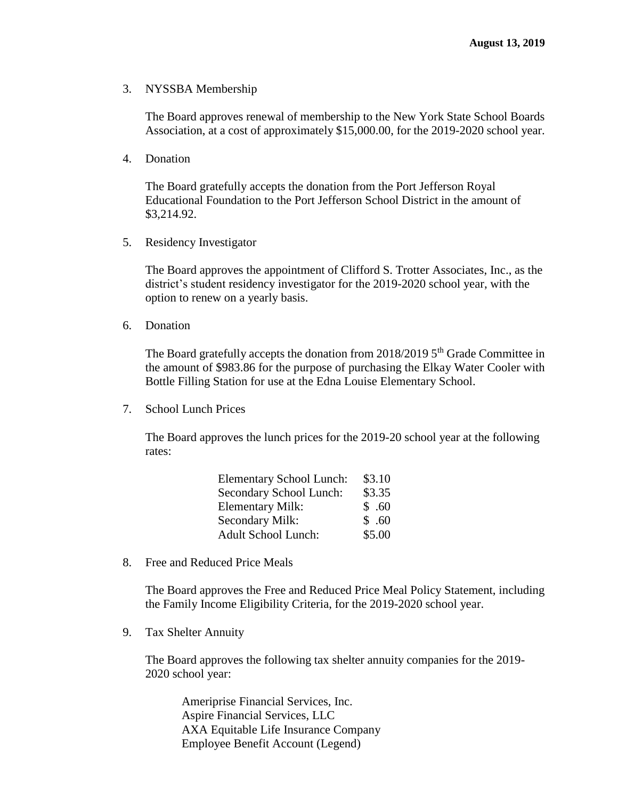3. NYSSBA Membership

The Board approves renewal of membership to the New York State School Boards Association, at a cost of approximately \$15,000.00, for the 2019-2020 school year.

4. Donation

The Board gratefully accepts the donation from the Port Jefferson Royal Educational Foundation to the Port Jefferson School District in the amount of \$3,214.92.

5. Residency Investigator

The Board approves the appointment of Clifford S. Trotter Associates, Inc., as the district's student residency investigator for the 2019-2020 school year, with the option to renew on a yearly basis.

6. Donation

The Board gratefully accepts the donation from  $2018/2019$  5<sup>th</sup> Grade Committee in the amount of \$983.86 for the purpose of purchasing the Elkay Water Cooler with Bottle Filling Station for use at the Edna Louise Elementary School.

7. School Lunch Prices

The Board approves the lunch prices for the 2019-20 school year at the following rates:

| <b>Elementary School Lunch:</b> | \$3.10 |
|---------------------------------|--------|
| Secondary School Lunch:         | \$3.35 |
| <b>Elementary Milk:</b>         | \$.60  |
| <b>Secondary Milk:</b>          | \$.60  |
| <b>Adult School Lunch:</b>      | \$5.00 |

8. Free and Reduced Price Meals

The Board approves the Free and Reduced Price Meal Policy Statement, including the Family Income Eligibility Criteria, for the 2019-2020 school year.

9. Tax Shelter Annuity

The Board approves the following tax shelter annuity companies for the 2019- 2020 school year:

Ameriprise Financial Services, Inc. Aspire Financial Services, LLC AXA Equitable Life Insurance Company Employee Benefit Account (Legend)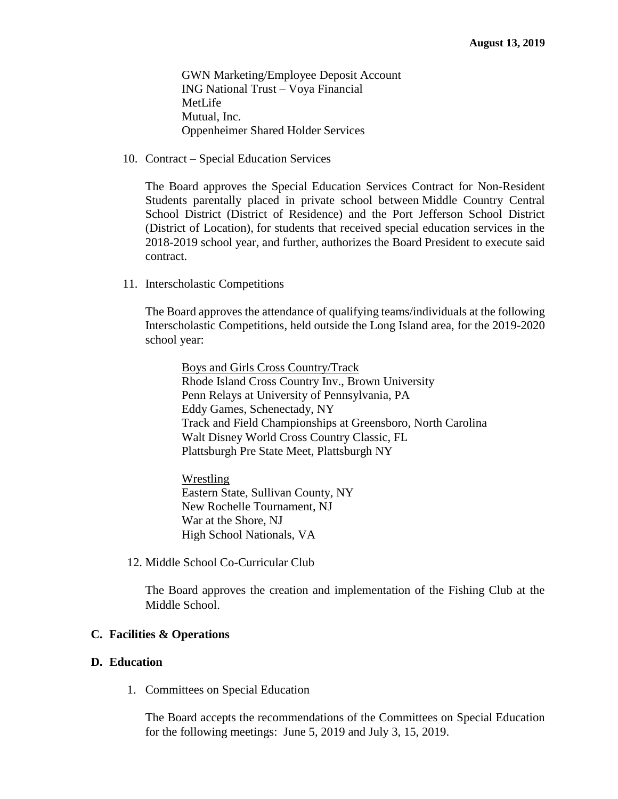GWN Marketing/Employee Deposit Account ING National Trust – Voya Financial MetLife Mutual, Inc. Oppenheimer Shared Holder Services

10. Contract – Special Education Services

The Board approves the Special Education Services Contract for Non-Resident Students parentally placed in private school between Middle Country Central School District (District of Residence) and the Port Jefferson School District (District of Location), for students that received special education services in the 2018-2019 school year, and further, authorizes the Board President to execute said contract.

11. Interscholastic Competitions

The Board approves the attendance of qualifying teams/individuals at the following Interscholastic Competitions, held outside the Long Island area, for the 2019-2020 school year:

Boys and Girls Cross Country/Track Rhode Island Cross Country Inv., Brown University Penn Relays at University of Pennsylvania, PA Eddy Games, Schenectady, NY Track and Field Championships at Greensboro, North Carolina Walt Disney World Cross Country Classic, FL Plattsburgh Pre State Meet, Plattsburgh NY

Wrestling Eastern State, Sullivan County, NY New Rochelle Tournament, NJ War at the Shore, NJ High School Nationals, VA

12. Middle School Co-Curricular Club

The Board approves the creation and implementation of the Fishing Club at the Middle School.

# **C. Facilities & Operations**

#### **D. Education**

1. Committees on Special Education

The Board accepts the recommendations of the Committees on Special Education for the following meetings: June 5, 2019 and July 3, 15, 2019.